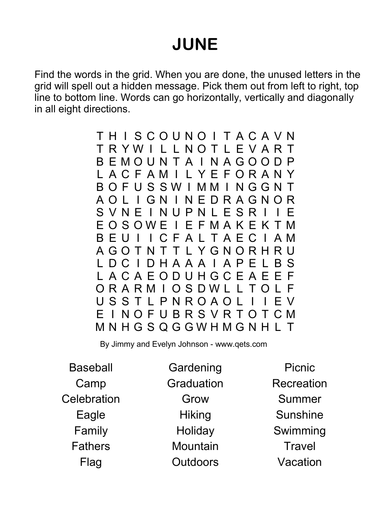## JUNE

Find the words in the grid. When you are done, the unused letters in the grid will spell out a hidden message. Pick them out from left to right, top line to bottom line. Words can go horizontally, vertically and diagonally in all eight directions.

> T H I S C O U N O I T A C A V N T R Y W I L L N O T L E V A R T B E M O U N T A I N A G O O D P L A C F A M I L Y E F O R A N Y B O F U S S W I M M I N G G N T A O L I G N I N E D R A G N O R S V N E I N U P N L E S R I I E O S O W E I E F M A K E K T M B E U I I C F A L T A E C I A M A G O T N T T L Y G N O R H R U L D C I D H A A A I A P E L B S L A C A E O D U H G C E A E E F O R A R M I O S D W L L T O L F U S S T L P N R O A O L I I E V E I N O F U B R S V R T O T C M M N H G S Q G G W H M G N H L T

By Jimmy and Evelyn Johnson - www.qets.com

Baseball Camp **Celebration** Eagle Family Fathers Flag

**Gardening** Graduation Grow **Hiking Holiday Mountain Outdoors** 

Picnic Recreation Summer Sunshine Swimming **Travel** Vacation